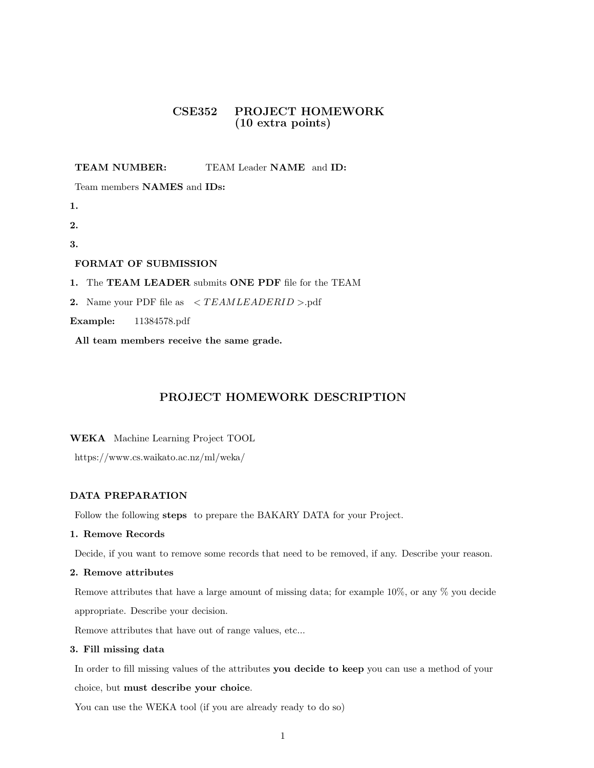# CSE352 PROJECT HOMEWORK (10 extra points)

TEAM NUMBER: TEAM Leader NAME and ID:

Team members NAMES and IDs:

1.

2.

3.

### FORMAT OF SUBMISSION

1. The TEAM LEADER submits ONE PDF file for the TEAM

2. Name your PDF file as  $\langle T EAMLEADERID \rangle$ .pdf

Example: 11384578.pdf

All team members receive the same grade.

# PROJECT HOMEWORK DESCRIPTION

WEKA Machine Learning Project TOOL

https://www.cs.waikato.ac.nz/ml/weka/

# DATA PREPARATION

Follow the following steps to prepare the BAKARY DATA for your Project.

1. Remove Records

Decide, if you want to remove some records that need to be removed, if any. Describe your reason.

#### 2. Remove attributes

Remove attributes that have a large amount of missing data; for example 10%, or any % you decide appropriate. Describe your decision.

Remove attributes that have out of range values, etc...

# 3. Fill missing data

In order to fill missing values of the attributes you decide to keep you can use a method of your choice, but must describe your choice.

You can use the WEKA tool (if you are already ready to do so)